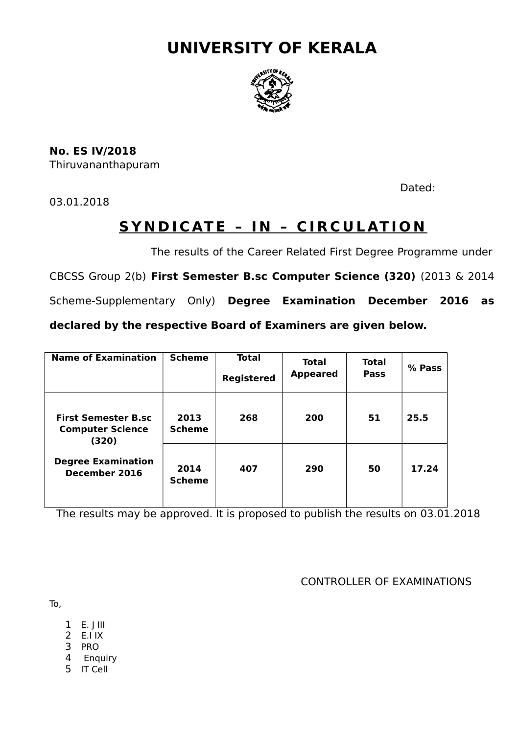# **UNIVERSITY OF KERALA**



**No. ES IV/2018** Thiruvananthapuram

03.01.2018

Dated:

# **SYNDICATE - IN - CIRCULATION**

The results of the Career Related First Degree Programme under

CBCSS Group 2(b) **First Semester B.sc Computer Science (320)** (2013 & 2014

Scheme-Supplementary Only) **Degree Examination December 2016 as**

**declared by the respective Board of Examiners are given below.**

| <b>Name of Examination</b>                                                                                   | <b>Scheme</b>         | Total<br><b>Registered</b> | <b>Total</b><br><b>Appeared</b> | <b>Total</b><br><b>Pass</b> | % Pass |
|--------------------------------------------------------------------------------------------------------------|-----------------------|----------------------------|---------------------------------|-----------------------------|--------|
| <b>First Semester B.sc</b><br><b>Computer Science</b><br>(320)<br><b>Degree Examination</b><br>December 2016 | 2013<br><b>Scheme</b> | 268                        | 200                             | 51                          | 25.5   |
|                                                                                                              | 2014<br><b>Scheme</b> | 407                        | 290                             | 50                          | 17.24  |

The results may be approved. It is proposed to publish the results on 03.01.2018

CONTROLLER OF EXAMINATIONS

To,

- $1$  E. J III
- 2  $E.IIX$
- 3 PRO
- 4 Enquiry
- 5 IT Cell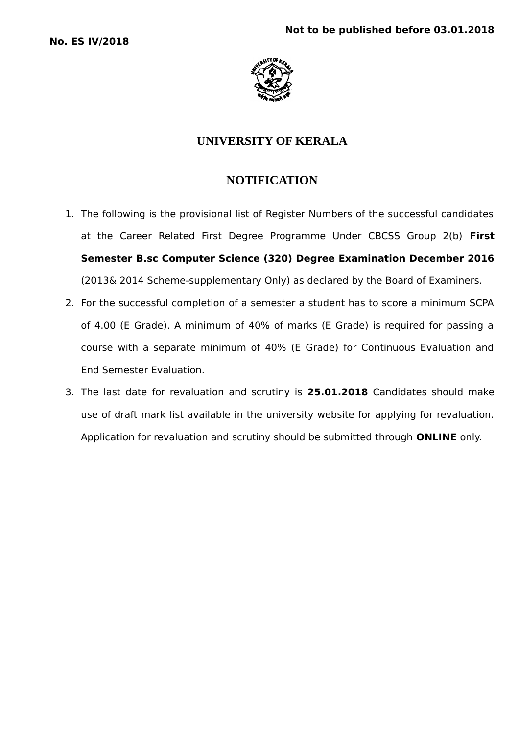

## **UNIVERSITY OF KERALA**

## **NOTIFICATION**

- 1. The following is the provisional list of Register Numbers of the successful candidates at the Career Related First Degree Programme Under CBCSS Group 2(b) **First Semester B.sc Computer Science (320) Degree Examination December 2016** (2013& 2014 Scheme-supplementary Only) as declared by the Board of Examiners.
- 2. For the successful completion of a semester a student has to score a minimum SCPA of 4.00 (E Grade). A minimum of 40% of marks (E Grade) is required for passing a course with a separate minimum of 40% (E Grade) for Continuous Evaluation and End Semester Evaluation.
- 3. The last date for revaluation and scrutiny is **25.01.2018** Candidates should make use of draft mark list available in the university website for applying for revaluation. Application for revaluation and scrutiny should be submitted through **ONLINE** only.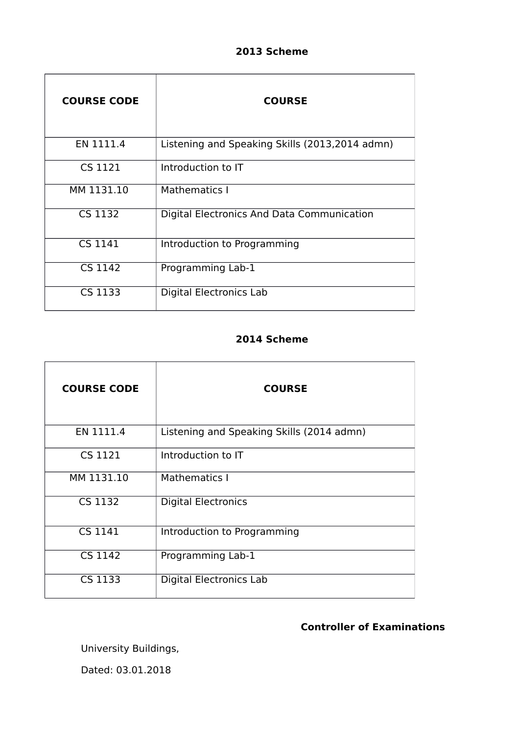## **2013 Scheme**

| <b>COURSE CODE</b> | <b>COURSE</b>                                  |
|--------------------|------------------------------------------------|
| EN 1111.4          | Listening and Speaking Skills (2013,2014 admn) |
| CS 1121            | Introduction to IT                             |
| MM 1131.10         | Mathematics I                                  |
| CS 1132            | Digital Electronics And Data Communication     |
| CS 1141            | Introduction to Programming                    |
| CS 1142            | Programming Lab-1                              |
| CS 1133            | Digital Electronics Lab                        |

## **2014 Scheme**

| <b>COURSE CODE</b>          | <b>COURSE</b>                             |
|-----------------------------|-------------------------------------------|
| EN 1111.4                   | Listening and Speaking Skills (2014 admn) |
| CS 1121                     | Introduction to IT                        |
| MM 1131.10                  | Mathematics I                             |
| $\overline{\text{CS}}$ 1132 | <b>Digital Electronics</b>                |
| CS 1141                     | Introduction to Programming               |
| <b>CS 1142</b>              | Programming Lab-1                         |
| CS 1133                     | <b>Digital Electronics Lab</b>            |

## **Controller of Examinations**

University Buildings, Dated: 03.01.2018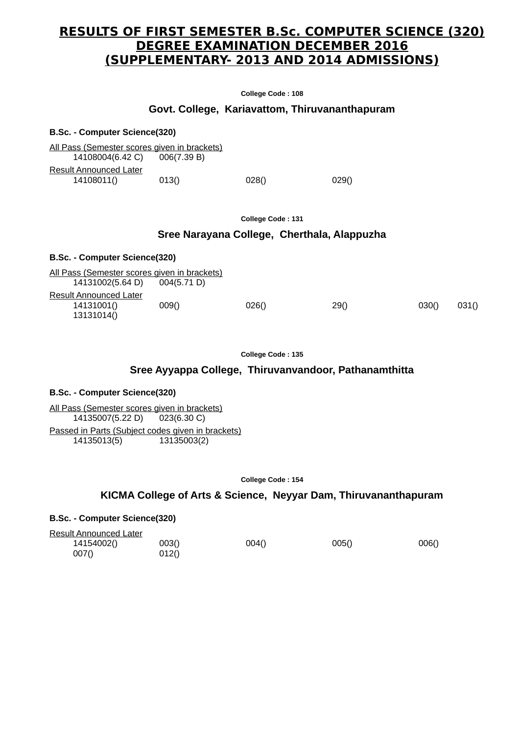## **RESULTS OF FIRST SEMESTER B.Sc. COMPUTER SCIENCE (320) DEGREE EXAMINATION DECEMBER 2016 (SUPPLEMENTARY- 2013 AND 2014 ADMISSIONS)**

**College Code : 108**

### **Govt. College, Kariavattom, Thiruvananthapuram**

**B.Sc. - Computer Science(320)** All Pass (Semester scores given in brackets) 14108004(6.42 C) 006(7.39 B) Result Announced Later 14108011() 013() 028() 028() 029()

**College Code : 131**

### **Sree Narayana College, Cherthala, Alappuzha**

| <b>B.Sc. - Computer Science(320)</b>                             |             |       |      |       |       |
|------------------------------------------------------------------|-------------|-------|------|-------|-------|
| All Pass (Semester scores given in brackets)<br>14131002(5.64 D) | 004(5.71 D) |       |      |       |       |
| Result Announced Later<br>14131001()<br>13131014()               | 009()       | 026() | 29() | 030() | 031() |

#### **College Code : 135**

#### **Sree Ayyappa College, Thiruvanvandoor, Pathanamthitta**

#### **B.Sc. - Computer Science(320)**

All Pass (Semester scores given in brackets) 14135007(5.22 D) 023(6.30 C) Passed in Parts (Subject codes given in brackets) 14135013(5) 13135003(2)

**College Code : 154**

### **KICMA College of Arts & Science, Neyyar Dam, Thiruvananthapuram**

| <b>Result Announced Later</b> |       |       |       |       |
|-------------------------------|-------|-------|-------|-------|
| 14154002()                    | 003() | 004() | 005() | 006() |
| 007()                         | 012() |       |       |       |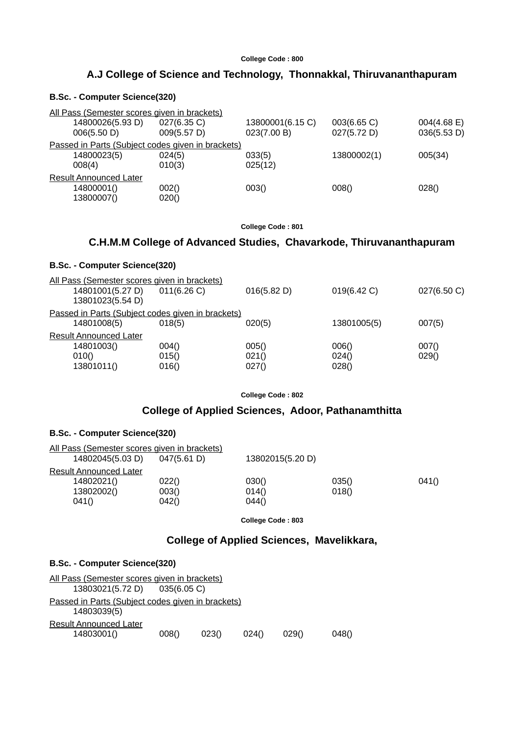### **A.J College of Science and Technology, Thonnakkal, Thiruvananthapuram**

#### **B.Sc. - Computer Science(320)**

| All Pass (Semester scores given in brackets) |                                                   |                                 |                            |                               |
|----------------------------------------------|---------------------------------------------------|---------------------------------|----------------------------|-------------------------------|
| 14800026(5.93 D)<br>006(5.50 D)              | 027(6.35 C)<br>009(5.57 D)                        | 13800001(6.15 C)<br>023(7.00 B) | 003(6.65 C)<br>027(5.72 D) | $004(4.68)$ E)<br>036(5.53 D) |
|                                              | Passed in Parts (Subject codes given in brackets) |                                 |                            |                               |
| 14800023(5)<br>008(4)                        | 024(5)<br>010(3)                                  | 033(5)<br>025(12)               | 13800002(1)                | 005(34)                       |
| <b>Result Announced Later</b>                |                                                   |                                 |                            |                               |
| 14800001()<br>13800007()                     | 002()<br>020()                                    | 003()                           | 008()                      | 028()                         |

**College Code : 801**

### **C.H.M.M College of Advanced Studies, Chavarkode, Thiruvananthapuram**

### **B.Sc. - Computer Science(320)**

| All Pass (Semester scores given in brackets)      |           |             |             |             |
|---------------------------------------------------|-----------|-------------|-------------|-------------|
| 14801001(5.27 D)                                  | 011(6.26) | 016(5.82 D) | 019(6.42 C) | 027(6.50 C) |
| 13801023(5.54 D)                                  |           |             |             |             |
| Passed in Parts (Subject codes given in brackets) |           |             |             |             |
| 14801008(5)                                       | 018(5)    | 020(5)      | 13801005(5) | 007(5)      |
| <b>Result Announced Later</b>                     |           |             |             |             |
| 14801003()                                        | 004()     | 005()       | 006()       | 007()       |
| 010()                                             | 015()     | 021()       | 024()       | 029()       |
| 13801011()                                        | 016()     | 027()       | 028()       |             |
|                                                   |           |             |             |             |

**College Code : 802**

### **College of Applied Sciences, Adoor, Pathanamthitta**

#### **B.Sc. - Computer Science(320)**

| All Pass (Semester scores given in brackets) |             |                  |       |       |
|----------------------------------------------|-------------|------------------|-------|-------|
| 14802045(5.03 D)                             | 047(5.61 D) | 13802015(5.20 D) |       |       |
| Result Announced Later                       |             |                  |       |       |
| 14802021()                                   | 022()       | 030()            | 035() | 041() |
| 13802002()                                   | 003()       | 014()            | 018() |       |
| 041()                                        | 042()       | 044()            |       |       |
|                                              |             |                  |       |       |

**College Code : 803**

## **College of Applied Sciences, Mavelikkara,**

| 0480 |
|------|
|      |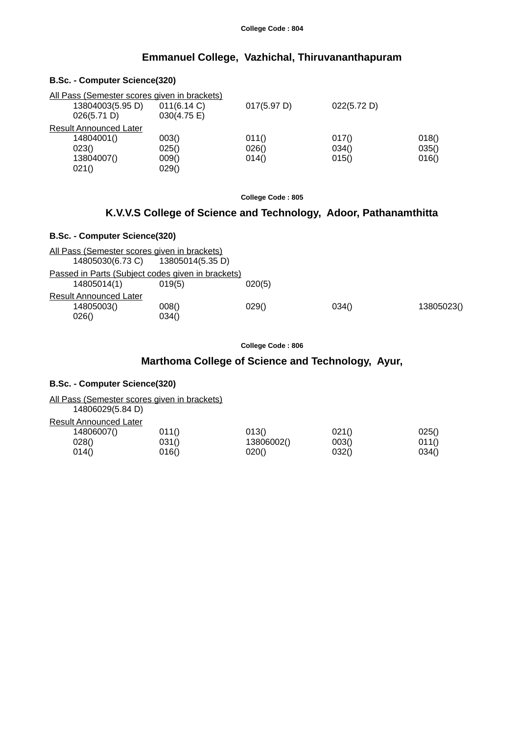### **Emmanuel College, Vazhichal, Thiruvananthapuram**

#### **B.Sc. - Computer Science(320)**

|       |                               | All Pass (Semester scores given in brackets) |             |             |       |
|-------|-------------------------------|----------------------------------------------|-------------|-------------|-------|
|       | 13804003(5.95 D)              | 011(6.14 C)                                  | 017(5.97 D) | 022(5.72 D) |       |
|       | 026(5.71 D)                   | 030(4.75 E)                                  |             |             |       |
|       | <b>Result Announced Later</b> |                                              |             |             |       |
|       | 14804001()                    | 003()                                        | 011()       | 017()       | 018() |
| 023() |                               | 025()                                        | 026()       | 034()       | 035() |
|       | 13804007()                    | 009()                                        | 014()       | 015()       | 016() |
| 021() |                               | 029()                                        |             |             |       |

**College Code : 805**

## **K.V.V.S College of Science and Technology, Adoor, Pathanamthitta**

### **B.Sc. - Computer Science(320)**

| All Pass (Semester scores given in brackets)<br>14805030(6.73 C) 13805014(5.35 D) |                |        |       |            |
|-----------------------------------------------------------------------------------|----------------|--------|-------|------------|
| Passed in Parts (Subject codes given in brackets)<br>14805014(1)                  | 019(5)         | 020(5) |       |            |
| <b>Result Announced Later</b><br>14805003()<br>026()                              | 008()<br>034() | 029()  | 034() | 13805023() |

**College Code : 806**

## **Marthoma College of Science and Technology, Ayur,**

#### **B.Sc. - Computer Science(320)**

All Pass (Semester scores given in brackets)

| 14806029(5.84 D)       |       |            |       |       |
|------------------------|-------|------------|-------|-------|
| Result Announced Later |       |            |       |       |
| 14806007()             | 011() | 013()      | 021() | 025() |
| 028()                  | 031() | 13806002() | 003() | 011() |
| 014()                  | 016() | 020()      | 032() | 034() |
|                        |       |            |       |       |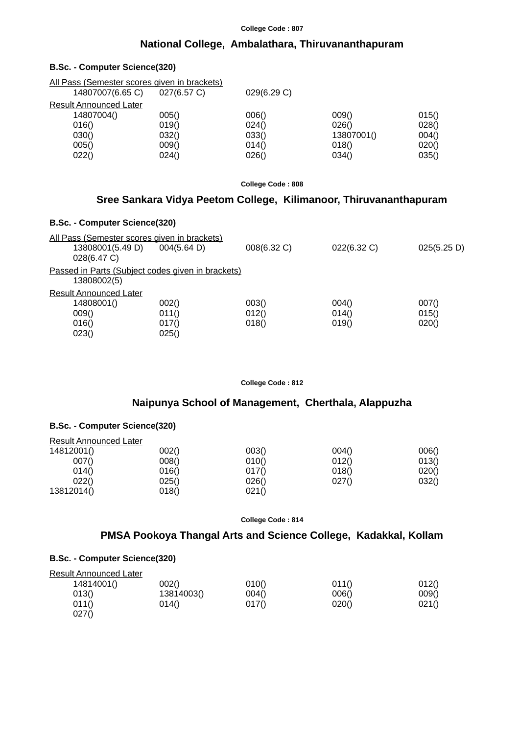## **National College, Ambalathara, Thiruvananthapuram**

#### **B.Sc. - Computer Science(320)**

| All Pass (Semester scores given in brackets) |             |             |            |       |
|----------------------------------------------|-------------|-------------|------------|-------|
| 14807007(6.65 C)                             | 027(6.57 C) | 029(6.29 C) |            |       |
| <b>Result Announced Later</b>                |             |             |            |       |
| 14807004()                                   | 005()       | 006()       | 009()      | 015() |
| 016()                                        | 019()       | 024()       | 026()      | 028() |
| 030()                                        | 032()       | 033()       | 13807001() | 004() |
| 005()                                        | 009()       | 014()       | 018()      | 020() |
| 022()                                        | 024()       | 026()       | 034()      | 035() |

**College Code : 808**

## **Sree Sankara Vidya Peetom College, Kilimanoor, Thiruvananthapuram**

#### **B.Sc. - Computer Science(320)**

| All Pass (Semester scores given in brackets)                     |             |             |             |             |
|------------------------------------------------------------------|-------------|-------------|-------------|-------------|
| 13808001(5.49 D)<br>028(6.47 C)                                  | 004(5.64 D) | 008(6.32 C) | 022(6.32 C) | 025(5.25 D) |
| Passed in Parts (Subject codes given in brackets)<br>13808002(5) |             |             |             |             |
| <b>Result Announced Later</b>                                    |             |             |             |             |
| 14808001()                                                       | 002()       | 003()       | 004()       | 007()       |
| 009()                                                            | 011()       | 012()       | 014()       | 015()       |
| 016()                                                            | 017()       | 018()       | 019()       | 020()       |
| 023()                                                            | 025()       |             |             |             |

**College Code : 812**

## **Naipunya School of Management, Cherthala, Alappuzha**

### **B.Sc. - Computer Science(320)**

| <b>Result Announced Later</b> |       |       |       |       |
|-------------------------------|-------|-------|-------|-------|
| 14812001()                    | 002() | 003() | 004() | 006() |
| 007()                         | 008() | 010() | 012() | 013() |
| 014()                         | 016() | 017() | 018() | 020() |
| 022()                         | 025() | 026() | 027() | 032() |
| 13812014()                    | 018() | 021() |       |       |

**College Code : 814**

### **PMSA Pookoya Thangal Arts and Science College, Kadakkal, Kollam**

| <b>Result Announced Later</b> |            |       |       |       |
|-------------------------------|------------|-------|-------|-------|
| 14814001()                    | 002()      | 010() | 011() | 012() |
| 013()                         | 13814003() | 004() | 006() | 009() |
| 011()                         | 014()      | 017() | 020() | 021() |
| 027()                         |            |       |       |       |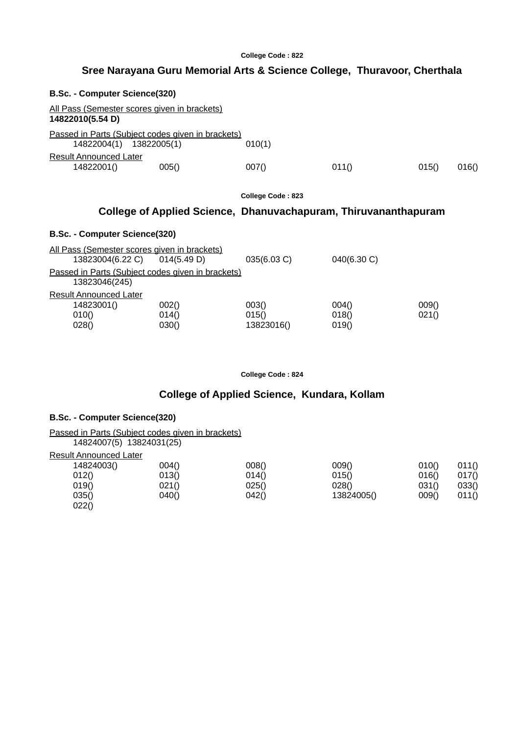## **Sree Narayana Guru Memorial Arts & Science College, Thuravoor, Cherthala**

| B.Sc. - Computer Science(320)                                                |                |                                                                 |                |                |       |
|------------------------------------------------------------------------------|----------------|-----------------------------------------------------------------|----------------|----------------|-------|
| All Pass (Semester scores given in brackets)<br>14822010(5.54 D)             |                |                                                                 |                |                |       |
| Passed in Parts (Subject codes given in brackets)<br>14822004(1) 13822005(1) |                | 010(1)                                                          |                |                |       |
| <b>Result Announced Later</b><br>14822001()                                  | 005()          | 007()                                                           | 011()          | 015()          | 016() |
|                                                                              |                | College Code: 823                                               |                |                |       |
|                                                                              |                | College of Applied Science, Dhanuvachapuram, Thiruvananthapuram |                |                |       |
| B.Sc. - Computer Science(320)                                                |                |                                                                 |                |                |       |
| <u>All Pass (Semester scores given in brackets)</u><br>13823004(6.22 C)      | 014(5.49 D)    | 035(6.03 C)                                                     | 040(6.30 C)    |                |       |
| Passed in Parts (Subject codes given in brackets)<br>13823046(245)           |                |                                                                 |                |                |       |
| Result Announced Later<br>14823001()<br>010()                                | 002()<br>014() | 003()<br>015()                                                  | 004()<br>018() | 009()<br>021() |       |

**College Code : 824**

## **College of Applied Science, Kundara, Kollam**

### **B.Sc. - Computer Science(320)**

 $022()$ 

Passed in Parts (Subject codes given in brackets)

| 14824007(5) 13824031(25)      |       |       |            |       |       |
|-------------------------------|-------|-------|------------|-------|-------|
| <b>Result Announced Later</b> |       |       |            |       |       |
| 14824003()                    | 004() | 008() | 009()      | 010() | 011() |
| 012()                         | 013() | 014() | 015()      | 016() | 017() |
| 019()                         | 021() | 025() | 028()      | 031() | 033() |
| 035()                         | 040() | 042() | 13824005() | 009() | 011() |

 $028()$   $030()$   $13823016()$   $019()$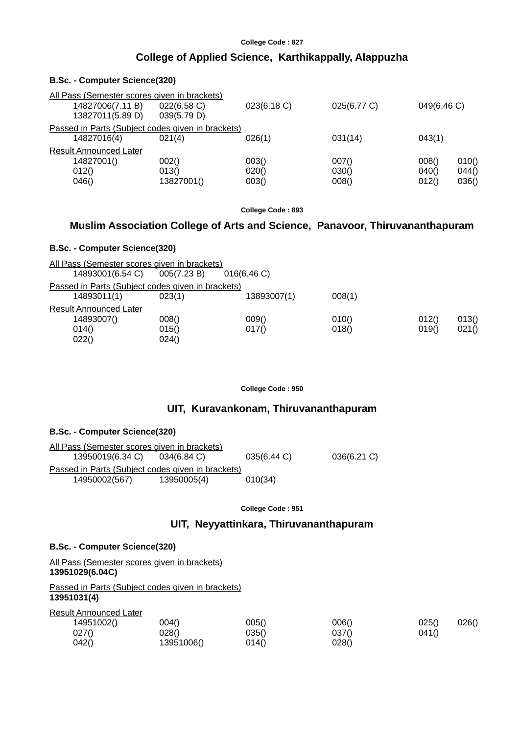#### **College of Applied Science, Karthikappally, Alappuzha**

| B.Sc. - Computer Science(320)                                                        |                              |                         |                         |                         |                         |
|--------------------------------------------------------------------------------------|------------------------------|-------------------------|-------------------------|-------------------------|-------------------------|
| All Pass (Semester scores given in brackets)<br>14827006(7.11 B)<br>13827011(5.89 D) | 022(6.58 C)<br>039(5.79 D)   | 023(6.18 C)             | 025(6.77 C)             | 049(6.46 C)             |                         |
| Passed in Parts (Subject codes given in brackets)<br>14827016(4)                     | 021(4)                       | 026(1)                  | 031(14)                 | 043(1)                  |                         |
| <b>Result Announced Later</b><br>14827001()<br>012()<br>046()                        | 002()<br>013()<br>13827001() | 003()<br>020()<br>003() | 007()<br>030()<br>008() | 008()<br>040()<br>012() | 010()<br>044()<br>036() |

**College Code : 893**

### **Muslim Association College of Arts and Science, Panavoor, Thiruvananthapuram**

#### **B.Sc. - Computer Science(320)**

All Pass (Semester scores given in brackets)<br>14893001(6.54 C) 005(7.23 B) 016(6.46 C) 14893001(6.54 C) 005(7.23 B) Passed in Parts (Subject codes given in brackets) 14893011(1) 023(1) 13893007(1) 008(1) Result Announced Later  $\begin{array}{ccccccccc} 14893007() & & & 008() & & & & 009() & & & & 010() & & & & 012() & & 013() \\ 014() & & & & & 015() & & & 017() & & & & 018() & & & 019() & & 021() \\ \end{array}$ 014() 015() 017() 018() 019() 021()  $022()$  024()

#### **College Code : 950**

#### **UIT, Kuravankonam, Thiruvananthapuram**

#### **B.Sc. - Computer Science(320)**

| All Pass (Semester scores given in brackets)      |             |             |             |  |
|---------------------------------------------------|-------------|-------------|-------------|--|
| 13950019(6.34 C) 034(6.84 C)                      |             | 035(6.44 C) | 036(6.21 C) |  |
| Passed in Parts (Subject codes given in brackets) |             |             |             |  |
| 14950002(567)                                     | 13950005(4) | 010(34)     |             |  |

#### **College Code : 951**

#### **UIT, Neyyattinkara, Thiruvananthapuram**

#### **B.Sc. - Computer Science(320)**

All Pass (Semester scores given in brackets) **13951029(6.04C)**

Passed in Parts (Subject codes given in brackets) **13951031(4)**

Result Announced Later

| 14951002() | 004()      | 005() | 006() | 025()<br>026() |
|------------|------------|-------|-------|----------------|
| 027()      | 028()      | 035() | 037() | 041()          |
| 042()      | 13951006() | 014() | 028() |                |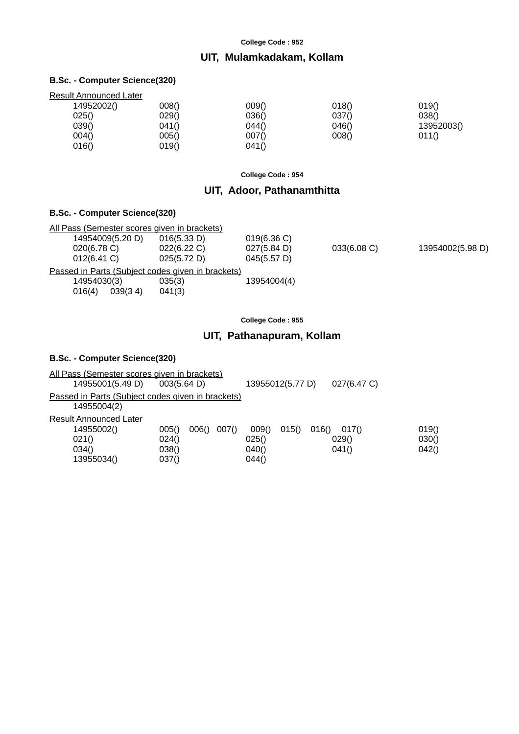### **UIT, Mulamkadakam, Kollam**

#### **B.Sc. - Computer Science(320)**

| <b>Result Announced Later</b> |       |       |            |
|-------------------------------|-------|-------|------------|
| 008()                         | 009() | 018() | 019()      |
| 029()                         | 036() | 037() | 038()      |
| 041()                         | 044() | 046() | 13952003() |
| 005()                         | 007() | 008() | 011()      |
| 019()                         | 041() |       |            |
|                               |       |       |            |

**College Code : 954**

## **UIT, Adoor, Pathanamthitta**

### **B.Sc. - Computer Science(320)**

|                |                  | All Pass (Semester scores given in brackets)      |             |             |                  |
|----------------|------------------|---------------------------------------------------|-------------|-------------|------------------|
|                | 14954009(5.20 D) | 016(5.33 D)                                       | 019(6.36)   |             |                  |
| $020(6.78)$ C) |                  | 022(6.22 C)                                       | 027(5.84 D) | 033(6.08 C) | 13954002(5.98 D) |
| $012(6.41)$ C) |                  | 025(5.72 D)                                       | 045(5.57 D) |             |                  |
|                |                  | Passed in Parts (Subject codes given in brackets) |             |             |                  |
| 14954030(3)    |                  | 035(3)                                            | 13954004(4) |             |                  |
| 016(4)         | 039(34)          | 041(3)                                            |             |             |                  |

**College Code : 955**

## **UIT, Pathanapuram, Kollam**

| All Pass (Semester scores given in brackets)                         |                                                    |                                                                               |                         |
|----------------------------------------------------------------------|----------------------------------------------------|-------------------------------------------------------------------------------|-------------------------|
| 14955001(5.49 D)                                                     | 003(5.64 D)                                        | 13955012(5.77 D)<br>027(6.47 C)                                               |                         |
| Passed in Parts (Subject codes given in brackets)<br>14955004(2)     |                                                    |                                                                               |                         |
| Result Announced Later<br>14955002()<br>021()<br>034()<br>13955034() | 007()<br>005()<br>006()<br>024()<br>038()<br>037() | 009()<br>015()<br>016()<br>017()<br>025()<br>029()<br>040()<br>041()<br>044() | 019()<br>030()<br>042() |